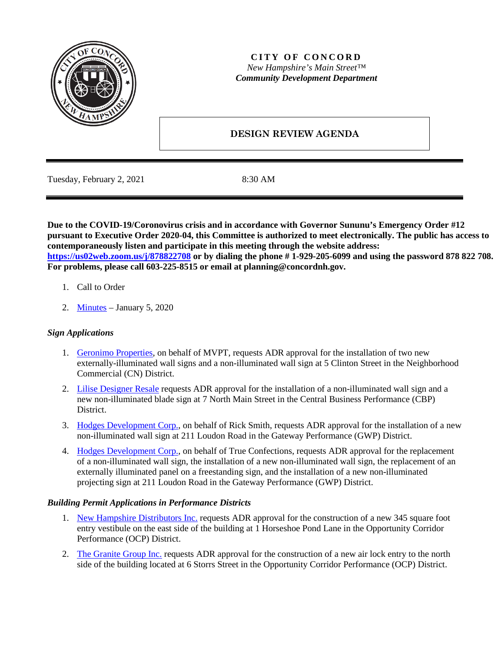

### **CITY OF CONCORD** *New Hampshire's Main Street™ Community Development Department*

# **DESIGN REVIEW AGENDA**

Tuesday, February 2, 2021 8:30 AM

**Due to the COVID-19/Coronovirus crisis and in accordance with Governor Sununu's Emergency Order #12 pursuant to Executive Order 2020-04, this Committee is authorized to meet electronically. The public has access to contemporaneously listen and participate in this meeting through the website address: <https://us02web.zoom.us/j/878822708> or by dialing the phone # 1-929-205-6099 and using the password 878 822 708. For problems, please call 603-225-8515 or email at planning@concordnh.gov.**

- 1. Call to Order
- 2. [Minutes](https://www.concordnh.gov/DocumentCenter/View/16656/01052021) January 5, 2020

### *Sign Applications*

- 1. [Geronimo Properties,](https://www.concordnh.gov/DocumentCenter/View/16653/MVPT_ADR) on behalf of MVPT, requests ADR approval for the installation of two new externally-illuminated wall signs and a non-illuminated wall sign at 5 Clinton Street in the Neighborhood Commercial (CN) District.
- 2. [Lilise Designer Resale](https://www.concordnh.gov/DocumentCenter/View/16661/LiliseDesignerResale_ADR) requests ADR approval for the installation of a non-illuminated wall sign and a new non-illuminated blade sign at 7 North Main Street in the Central Business Performance (CBP) District.
- 3. [Hodges Development Corp.,](https://www.concordnh.gov/DocumentCenter/View/16652/Kirby_ADR) on behalf of Rick Smith, requests ADR approval for the installation of a new non-illuminated wall sign at 211 Loudon Road in the Gateway Performance (GWP) District.
- 4. [Hodges Development Corp.,](https://www.concordnh.gov/DocumentCenter/View/16654/True_Confections_ADR) on behalf of True Confections, requests ADR approval for the replacement of a non-illuminated wall sign, the installation of a new non-illuminated wall sign, the replacement of an externally illuminated panel on a freestanding sign, and the installation of a new non-illuminated projecting sign at 211 Loudon Road in the Gateway Performance (GWP) District.

#### *Building Permit Applications in Performance Districts*

- 1. New [Hampshire Distributors Inc.](https://www.concordnh.gov/DocumentCenter/View/16655/NHDistributors_ADR) requests ADR approval for the construction of a new 345 square foot entry vestibule on the east side of the building at 1 Horseshoe Pond Lane in the Opportunity Corridor Performance (OCP) District.
- 2. [The Granite Group Inc.](https://www.concordnh.gov/DocumentCenter/View/16662/GraniteGroup---ADR) requests ADR approval for the construction of a new air lock entry to the north side of the building located at 6 Storrs Street in the Opportunity Corridor Performance (OCP) District.